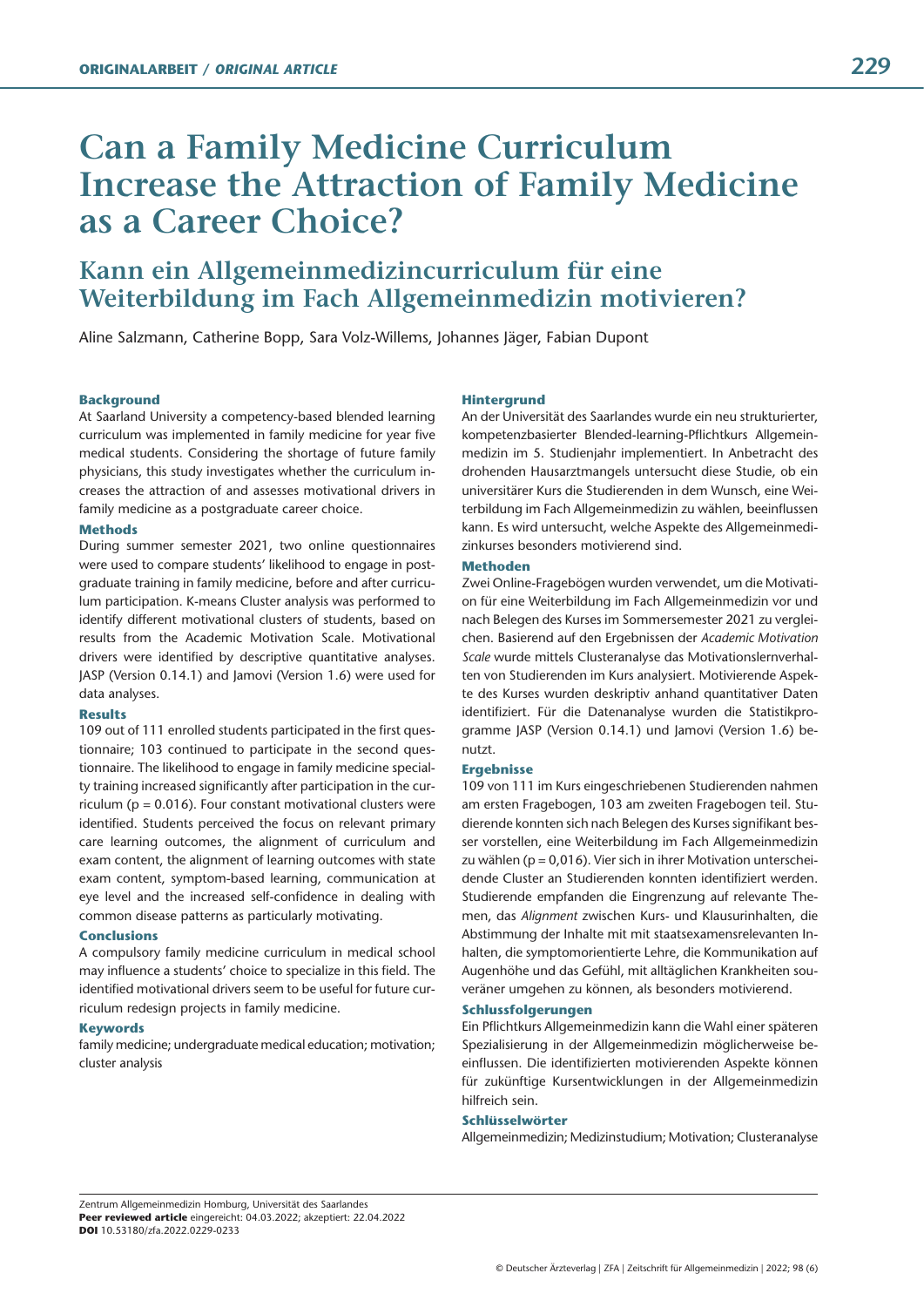# **Can a Family Medicine Curriculum Increase the Attraction of Family Medicine as a Career Choice?**

# **Kann ein Allgemeinmedizincurriculum für eine Weiterbildung im Fach Allgemeinmedizin motivieren?**

Aline Salzmann, Catherine Bopp, Sara Volz-Willems, Johannes Jäger, Fabian Dupont

#### **Background**

At Saarland University a competency-based blended learning curriculum was implemented in family medicine for year five medical students. Considering the shortage of future family physicians, this study investigates whether the curriculum increases the attraction of and assesses motivational drivers in family medicine as a postgraduate career choice.

#### **Methods**

During summer semester 2021, two online questionnaires were used to compare students' likelihood to engage in postgraduate training in family medicine, before and after curriculum participation. K-means Cluster analysis was performed to identify different motivational clusters of students, based on results from the Academic Motivation Scale. Motivational drivers were identified by descriptive quantitative analyses. JASP (Version 0.14.1) and Jamovi (Version 1.6) were used for data analyses.

#### **Results**

109 out of 111 enrolled students participated in the first questionnaire; 103 continued to participate in the second questionnaire. The likelihood to engage in family medicine specialty training increased significantly after participation in the curriculum ( $p = 0.016$ ). Four constant motivational clusters were identified. Students perceived the focus on relevant primary care learning outcomes, the alignment of curriculum and exam content, the alignment of learning outcomes with state exam content, symptom-based learning, communication at eye level and the increased self-confidence in dealing with common disease patterns as particularly motivating.

#### **Conclusions**

A compulsory family medicine curriculum in medical school may influence a students' choice to specialize in this field. The identified motivational drivers seem to be useful for future curriculum redesign projects in family medicine.

#### **Keywords**

family medicine; undergraduate medical education; motivation; cluster analysis

#### **Hintergrund**

An der Universität des Saarlandes wurde ein neu strukturierter, kompetenzbasierter Blended-learning-Pflichtkurs Allgemeinmedizin im 5. Studienjahr implementiert. In Anbetracht des drohenden Hausarztmangels untersucht diese Studie, ob ein universitärer Kurs die Studierenden in dem Wunsch, eine Weiterbildung im Fach Allgemeinmedizin zu wählen, beeinflussen kann. Es wird untersucht, welche Aspekte des Allgemeinmedizinkurses besonders motivierend sind.

#### **Methoden**

Zwei Online-Fragebögen wurden verwendet, um die Motivation für eine Weiterbildung im Fach Allgemeinmedizin vor und nach Belegen des Kurses im Sommersemester 2021 zu vergleichen. Basierend auf den Ergebnissen der *Academic Motivation Scale* wurde mittels Clusteranalyse das Motivationslernverhalten von Studierenden im Kurs analysiert. Motivierende Aspekte des Kurses wurden deskriptiv anhand quantitativer Daten identifiziert. Für die Datenanalyse wurden die Statistikprogramme JASP (Version 0.14.1) und Jamovi (Version 1.6) benutzt.

#### **Ergebnisse**

109 von 111 im Kurs eingeschriebenen Studierenden nahmen am ersten Fragebogen, 103 am zweiten Fragebogen teil. Studierende konnten sich nach Belegen des Kurses signifikant besser vorstellen, eine Weiterbildung im Fach Allgemeinmedizin zu wählen ( $p = 0.016$ ). Vier sich in ihrer Motivation unterscheidende Cluster an Studierenden konnten identifiziert werden. Studierende empfanden die Eingrenzung auf relevante Themen, das *Alignment* zwischen Kurs- und Klausurinhalten, die Abstimmung der Inhalte mit mit staatsexamensrelevanten Inhalten, die symptomorientierte Lehre, die Kommunikation auf Augenhöhe und das Gefühl, mit alltäglichen Krankheiten souveräner umgehen zu können, als besonders motivierend.

#### **Schlussfolgerungen**

Ein Pflichtkurs Allgemeinmedizin kann die Wahl einer späteren Spezialisierung in der Allgemeinmedizin möglicherweise beeinflussen. Die identifizierten motivierenden Aspekte können für zukünftige Kursentwicklungen in der Allgemeinmedizin hilfreich sein.

#### **Schlüsselwörter**

Allgemeinmedizin; Medizinstudium; Motivation; Clusteranalyse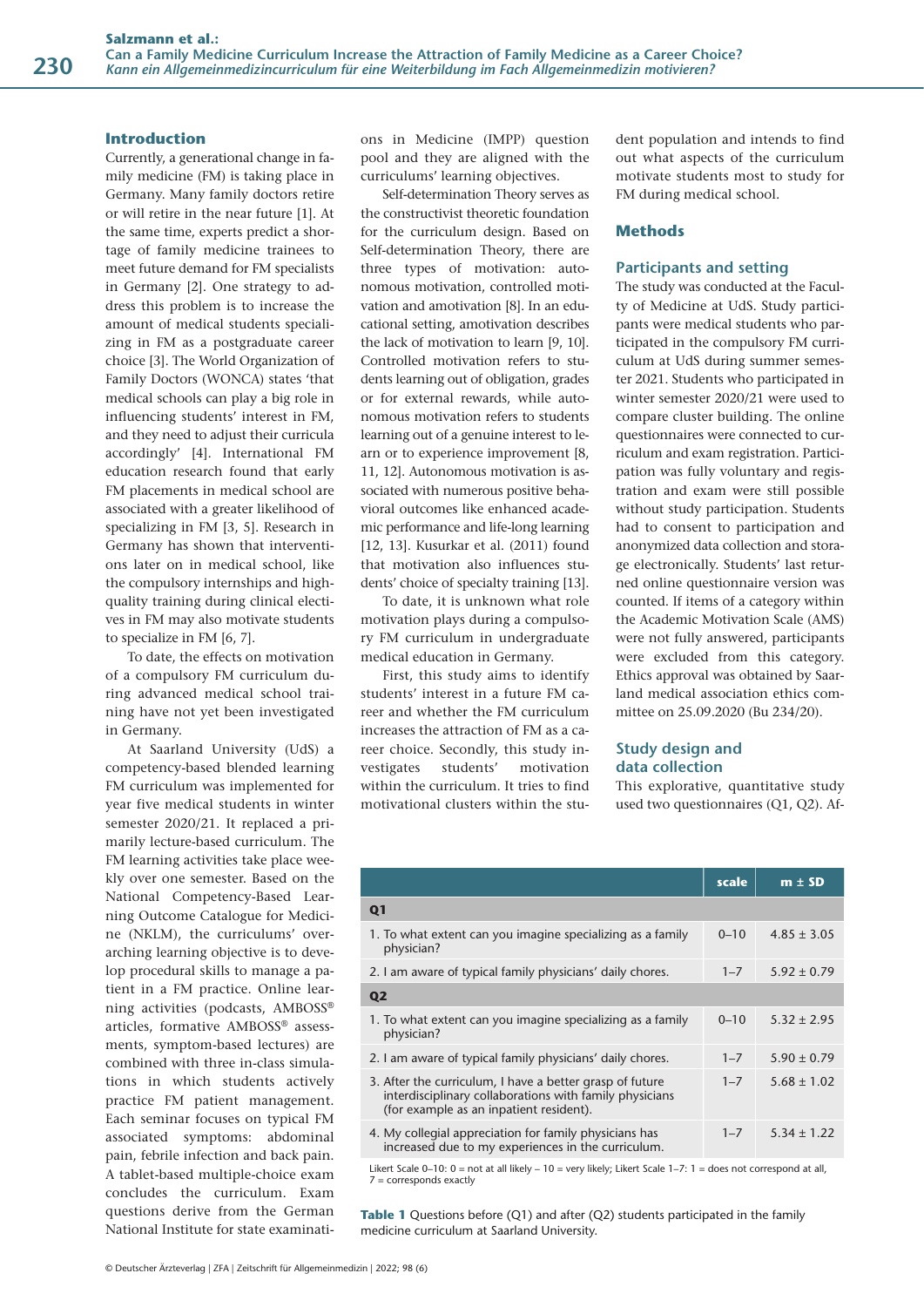#### **Introduction**

Currently, a generational change in family medicine (FM) is taking place in Germany. Many family doctors retire or will retire in the near future [1]. At the same time, experts predict a shortage of family medicine trainees to meet future demand for FM specialists in Germany [2]. One strategy to address this problem is to increase the amount of medical students specializing in FM as a postgraduate career choice [3]. The World Organization of Family Doctors (WONCA) states 'that medical schools can play a big role in influencing students' interest in FM, and they need to adjust their curricula accordingly' [4]. International FM education research found that early FM placements in medical school are associated with a greater likelihood of specializing in FM [3, 5]. Research in Germany has shown that interventions later on in medical school, like the compulsory internships and highquality training during clinical electives in FM may also motivate students to specialize in FM [6, 7].

To date, the effects on motivation of a compulsory FM curriculum during advanced medical school training have not yet been investigated in Germany.

At Saarland University (UdS) a competency-based blended learning FM curriculum was implemented for year five medical students in winter semester 2020/21. It replaced a primarily lecture-based curriculum. The FM learning activities take place weekly over one semester. Based on the National Competency-Based Learning Outcome Catalogue for Medicine (NKLM), the curriculums' overarching learning objective is to develop procedural skills to manage a patient in a FM practice. Online learning activities (podcasts, AMBOSS® articles, formative AMBOSS® assessments, symptom-based lectures) are combined with three in-class simulations in which students actively practice FM patient management. Each seminar focuses on typical FM associated symptoms: abdominal pain, febrile infection and back pain. A tablet-based multiple-choice exam concludes the curriculum. Exam questions derive from the German National Institute for state examinations in Medicine (IMPP) question pool and they are aligned with the curriculums' learning objectives.

Self-determination Theory serves as the constructivist theoretic foundation for the curriculum design. Based on Self-determination Theory, there are three types of motivation: autonomous motivation, controlled motivation and amotivation [8]. In an educational setting, amotivation describes the lack of motivation to learn [9, 10]. Controlled motivation refers to students learning out of obligation, grades or for external rewards, while autonomous motivation refers to students learning out of a genuine interest to learn or to experience improvement [8, 11, 12]. Autonomous motivation is associated with numerous positive behavioral outcomes like enhanced academic performance and life-long learning [12, 13]. Kusurkar et al. (2011) found that motivation also influences students' choice of specialty training [13].

To date, it is unknown what role motivation plays during a compulsory FM curriculum in undergraduate medical education in Germany.

First, this study aims to identify students' interest in a future FM career and whether the FM curriculum increases the attraction of FM as a career choice. Secondly, this study investigates students' motivation within the curriculum. It tries to find motivational clusters within the student population and intends to find out what aspects of the curriculum motivate students most to study for FM during medical school.

#### **Methods**

#### **Participants and setting**

The study was conducted at the Faculty of Medicine at UdS. Study participants were medical students who participated in the compulsory FM curriculum at UdS during summer semester 2021. Students who participated in winter semester 2020/21 were used to compare cluster building. The online questionnaires were connected to curriculum and exam registration. Participation was fully voluntary and registration and exam were still possible without study participation. Students had to consent to participation and anonymized data collection and storage electronically. Students' last returned online questionnaire version was counted. If items of a category within the Academic Motivation Scale (AMS) were not fully answered, participants were excluded from this category. Ethics approval was obtained by Saarland medical association ethics committee on 25.09.2020 (Bu 234/20).

# **Study design and data collection**

This explorative, quantitative study used two questionnaires (Q1, Q2). Af-

|                                                                                                                                                                | scale    | $m \pm SD$      |
|----------------------------------------------------------------------------------------------------------------------------------------------------------------|----------|-----------------|
| Q <sub>1</sub>                                                                                                                                                 |          |                 |
| 1. To what extent can you imagine specializing as a family<br>physician?                                                                                       | $0 - 10$ | $4.85 \pm 3.05$ |
| 2. I am aware of typical family physicians' daily chores.                                                                                                      | $1 - 7$  | $5.92 \pm 0.79$ |
| Q <sub>2</sub>                                                                                                                                                 |          |                 |
| 1. To what extent can you imagine specializing as a family<br>physician?                                                                                       | $0 - 10$ | $5.32 \pm 2.95$ |
| 2. I am aware of typical family physicians' daily chores.                                                                                                      | $1 - 7$  | $5.90 \pm 0.79$ |
| 3. After the curriculum, I have a better grasp of future<br>interdisciplinary collaborations with family physicians<br>(for example as an inpatient resident). | $1 - 7$  | $5.68 \pm 1.02$ |
| 4. My collegial appreciation for family physicians has<br>increased due to my experiences in the curriculum.                                                   | $1 - 7$  | $5.34 \pm 1.22$ |

Likert Scale 0–10: 0 = not at all likely – 10 = very likely: Likert Scale 1–7: 1 = does not correspond at all, 7 = corresponds exactly

**Table 1** Questions before (Q1) and after (Q2) students participated in the family medicine curriculum at Saarland University.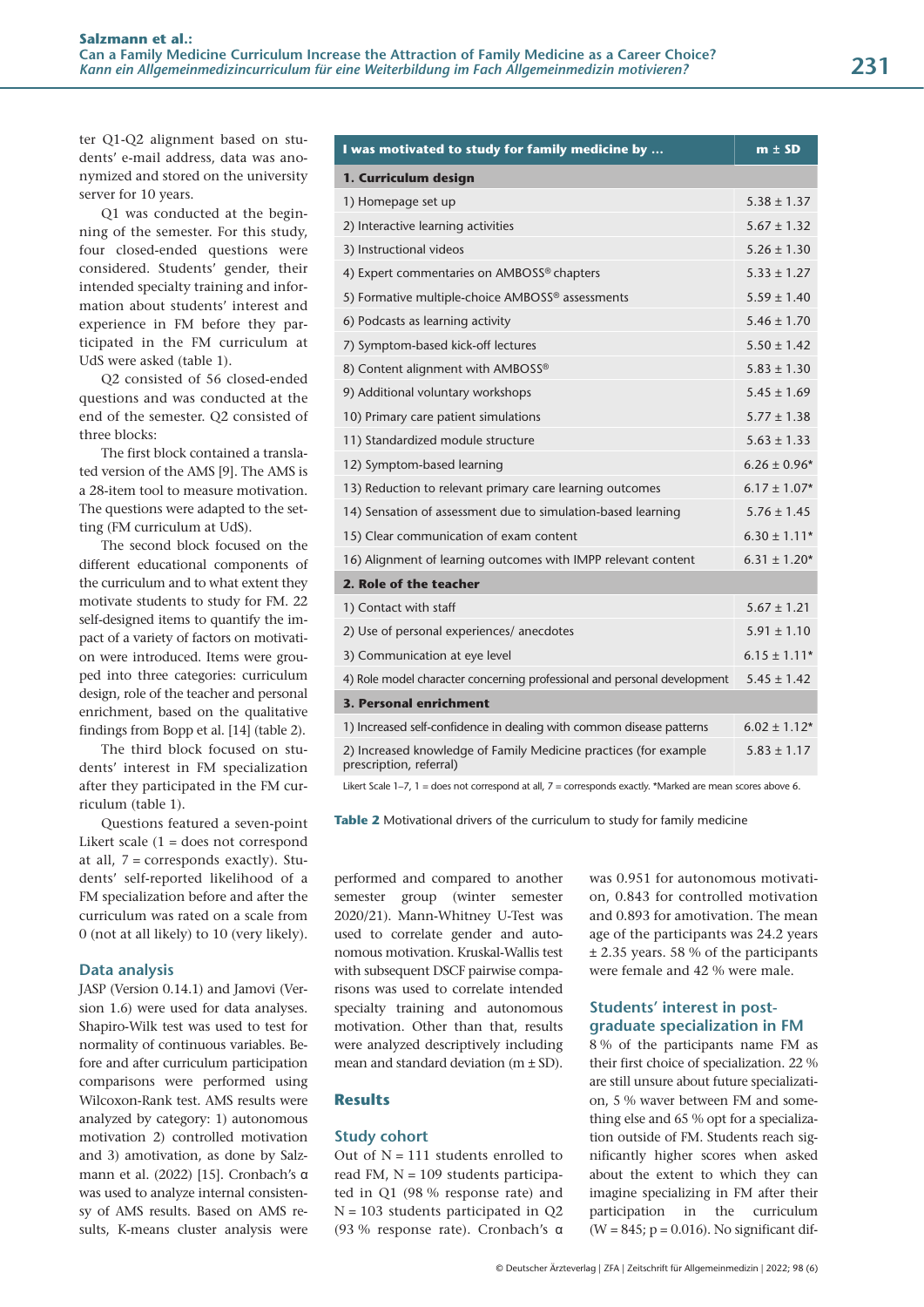ter Q1-Q2 alignment based on students' e-mail address, data was anonymized and stored on the university server for 10 years.

Q1 was conducted at the beginning of the semester. For this study, four closed-ended questions were considered. Students' gender, their intended specialty training and information about students' interest and experience in FM before they participated in the FM curriculum at UdS were asked (table 1).

Q2 consisted of 56 closed-ended questions and was conducted at the end of the semester. Q2 consisted of three blocks:

The first block contained a translated version of the AMS [9]. The AMS is a 28-item tool to measure motivation. The questions were adapted to the setting (FM curriculum at UdS).

The second block focused on the different educational components of the curriculum and to what extent they motivate students to study for FM. 22 self-designed items to quantify the impact of a variety of factors on motivation were introduced. Items were grouped into three categories: curriculum design, role of the teacher and personal enrichment, based on the qualitative findings from Bopp et al. [14] (table 2).

The third block focused on students' interest in FM specialization after they participated in the FM curriculum (table 1).

Questions featured a seven-point Likert scale  $(1 =$  does not correspond at all, 7 = corresponds exactly). Students' self-reported likelihood of a FM specialization before and after the curriculum was rated on a scale from 0 (not at all likely) to 10 (very likely).

# **Data analysis**

JASP (Version 0.14.1) and Jamovi (Version 1.6) were used for data analyses. Shapiro-Wilk test was used to test for normality of continuous variables. Before and after curriculum participation comparisons were performed using Wilcoxon-Rank test. AMS results were analyzed by category: 1) autonomous motivation 2) controlled motivation and 3) amotivation, as done by Salzmann et al. (2022) [15]. Cronbach's α was used to analyze internal consistensy of AMS results. Based on AMS results, K-means cluster analysis were

| I was motivated to study for family medicine by                                             | $m \pm SD$       |
|---------------------------------------------------------------------------------------------|------------------|
| 1. Curriculum design                                                                        |                  |
| 1) Homepage set up                                                                          | $5.38 \pm 1.37$  |
| 2) Interactive learning activities                                                          | $5.67 \pm 1.32$  |
| 3) Instructional videos                                                                     | $5.26 \pm 1.30$  |
| 4) Expert commentaries on AMBOSS® chapters                                                  | $5.33 \pm 1.27$  |
| 5) Formative multiple-choice AMBOSS® assessments                                            | $5.59 \pm 1.40$  |
| 6) Podcasts as learning activity                                                            | $5.46 \pm 1.70$  |
| 7) Symptom-based kick-off lectures                                                          | $5.50 \pm 1.42$  |
| 8) Content alignment with AMBOSS®                                                           | $5.83 \pm 1.30$  |
| 9) Additional voluntary workshops                                                           | $5.45 \pm 1.69$  |
| 10) Primary care patient simulations                                                        | $5.77 \pm 1.38$  |
| 11) Standardized module structure                                                           | $5.63 \pm 1.33$  |
| 12) Symptom-based learning                                                                  | $6.26 \pm 0.96*$ |
| 13) Reduction to relevant primary care learning outcomes                                    | $6.17 \pm 1.07*$ |
| 14) Sensation of assessment due to simulation-based learning                                | $5.76 \pm 1.45$  |
| 15) Clear communication of exam content                                                     | $6.30 \pm 1.11*$ |
| 16) Alignment of learning outcomes with IMPP relevant content                               | $6.31 \pm 1.20*$ |
| 2. Role of the teacher                                                                      |                  |
| 1) Contact with staff                                                                       | $5.67 \pm 1.21$  |
| 2) Use of personal experiences/anecdotes                                                    | $5.91 \pm 1.10$  |
| 3) Communication at eye level                                                               | $6.15 \pm 1.11*$ |
| 4) Role model character concerning professional and personal development                    | $5.45 \pm 1.42$  |
| <b>3. Personal enrichment</b>                                                               |                  |
| 1) Increased self-confidence in dealing with common disease patterns                        | $6.02 \pm 1.12*$ |
| 2) Increased knowledge of Family Medicine practices (for example<br>prescription, referral) | $5.83 \pm 1.17$  |

Likert Scale 1-7, 1 = does not correspond at all, 7 = corresponds exactly. \*Marked are mean scores above 6.

**Table 2** Motivational drivers of the curriculum to study for family medicine

performed and compared to another semester group (winter semester 2020/21). Mann-Whitney U-Test was used to correlate gender and autonomous motivation. Kruskal-Wallis test with subsequent DSCF pairwise comparisons was used to correlate intended specialty training and autonomous motivation. Other than that, results were analyzed descriptively including mean and standard deviation (m ± SD).

# **Results**

# **Study cohort**

Out of  $N = 111$  students enrolled to read FM,  $N = 109$  students participated in Q1 (98 % response rate) and N = 103 students participated in Q2 (93 % response rate). Cronbach's α was 0.951 for autonomous motivation, 0.843 for controlled motivation and 0.893 for amotivation. The mean age of the participants was 24.2 years ± 2.35 years. 58 % of the participants were female and 42 % were male.

# **Students' interest in post graduate specialization in FM**

8 % of the participants name FM as their first choice of specialization. 22 % are still unsure about future specialization, 5 % waver between FM and something else and 65 % opt for a specialization outside of FM. Students reach significantly higher scores when asked about the extent to which they can imagine specializing in FM after their participation in the curriculum  $(W = 845; p = 0.016)$ . No significant dif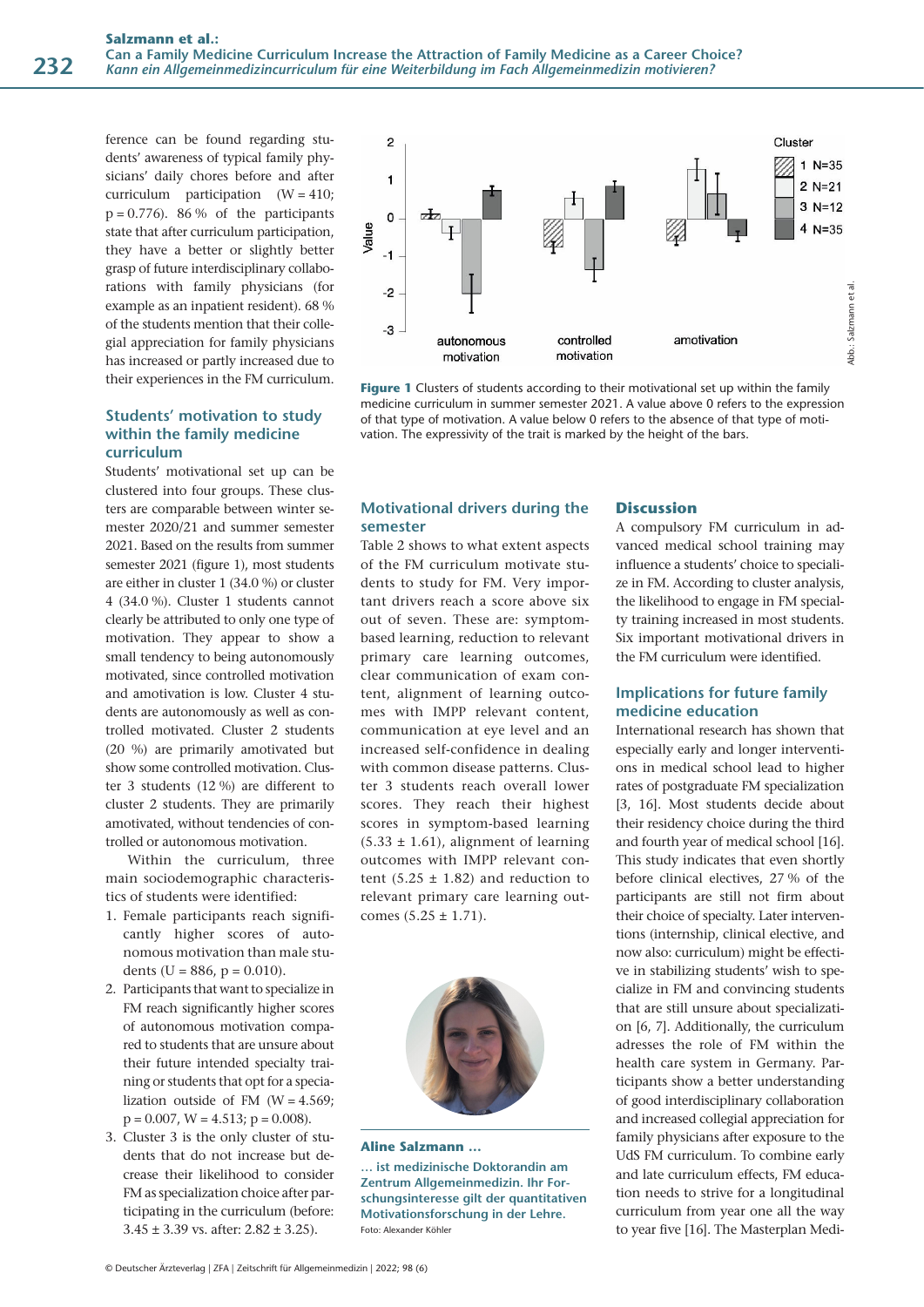ference can be found regarding students' awareness of typical family physicians' daily chores before and after curriculum participation (W = 410;  $p = 0.776$ . 86 % of the participants state that after curriculum participation, they have a better or slightly better grasp of future interdisciplinary collaborations with family physicians (for example as an inpatient resident). 68 % of the students mention that their collegial appreciation for family physicians has increased or partly increased due to their experiences in the FM curriculum.

# **Students' motivation to study within the family medicine curriculum**

Students' motivational set up can be clustered into four groups. These clusters are comparable between winter semester 2020/21 and summer semester 2021. Based on the results from summer semester 2021 (figure 1), most students are either in cluster 1 (34.0 %) or cluster 4 (34.0 %). Cluster 1 students cannot clearly be attributed to only one type of motivation. They appear to show a small tendency to being autonomously motivated, since controlled motivation and amotivation is low. Cluster 4 students are autonomously as well as controlled motivated. Cluster 2 students (20 %) are primarily amotivated but show some controlled motivation. Cluster 3 students (12 %) are different to cluster 2 students. They are primarily amotivated, without tendencies of controlled or autonomous motivation.

Within the curriculum, three main sociodemographic characteristics of students were identified:

- 1. Female participants reach significantly higher scores of autonomous motivation than male students (U = 886, p = 0.010).
- 2. Participants that want to specialize in FM reach significantly higher scores of autonomous motivation compared to students that are unsure about their future intended specialty training or students that opt for a specialization outside of FM  $(W = 4.569)$ ;  $p = 0.007$ ,  $W = 4.513$ ;  $p = 0.008$ ).
- 3. Cluster 3 is the only cluster of students that do not increase but decrease their likelihood to consider FM as specialization choice after participating in the curriculum (before:  $3.45 \pm 3.39$  vs. after:  $2.82 \pm 3.25$ ).



**Figure 1** Clusters of students according to their motivational set up within the family medicine curriculum in summer semester 2021. A value above 0 refers to the expression of that type of motivation. A value below 0 refers to the absence of that type of motivation. The expressivity of the trait is marked by the height of the bars.

# **Motivational drivers during the semester**

Table 2 shows to what extent aspects of the FM curriculum motivate students to study for FM. Very important drivers reach a score above six out of seven. These are: symptombased learning, reduction to relevant primary care learning outcomes, clear communication of exam content, alignment of learning outcomes with IMPP relevant content, communication at eye level and an increased self-confidence in dealing with common disease patterns. Cluster 3 students reach overall lower scores. They reach their highest scores in symptom-based learning  $(5.33 \pm 1.61)$ , alignment of learning outcomes with IMPP relevant content  $(5.25 \pm 1.82)$  and reduction to relevant primary care learning outcomes  $(5.25 \pm 1.71)$ .



#### **Aline Salzmann …**

**… ist medizinische Doktorandin am Zentrum Allgemeinmedizin. Ihr Forschungsinteresse gilt der quantitativen Motivationsforschung in der Lehre.**  Foto: Alexander Köhler

#### **Discussion**

A compulsory FM curriculum in advanced medical school training may influence a students' choice to specialize in FM. According to cluster analysis, the likelihood to engage in FM specialty training increased in most students. Six important motivational drivers in the FM curriculum were identified.

# **Implications for future family medicine education**

International research has shown that especially early and longer interventions in medical school lead to higher rates of postgraduate FM specialization [3, 16]. Most students decide about their residency choice during the third and fourth year of medical school [16]. This study indicates that even shortly before clinical electives, 27 % of the participants are still not firm about their choice of specialty. Later interventions (internship, clinical elective, and now also: curriculum) might be effective in stabilizing students' wish to specialize in FM and convincing students that are still unsure about specialization [6, 7]. Additionally, the curriculum adresses the role of FM within the health care system in Germany. Participants show a better understanding of good interdisciplinary collaboration and increased collegial appreciation for family physicians after exposure to the UdS FM curriculum. To combine early and late curriculum effects, FM education needs to strive for a longitudinal curriculum from year one all the way to year five [16]. The Masterplan Medi-